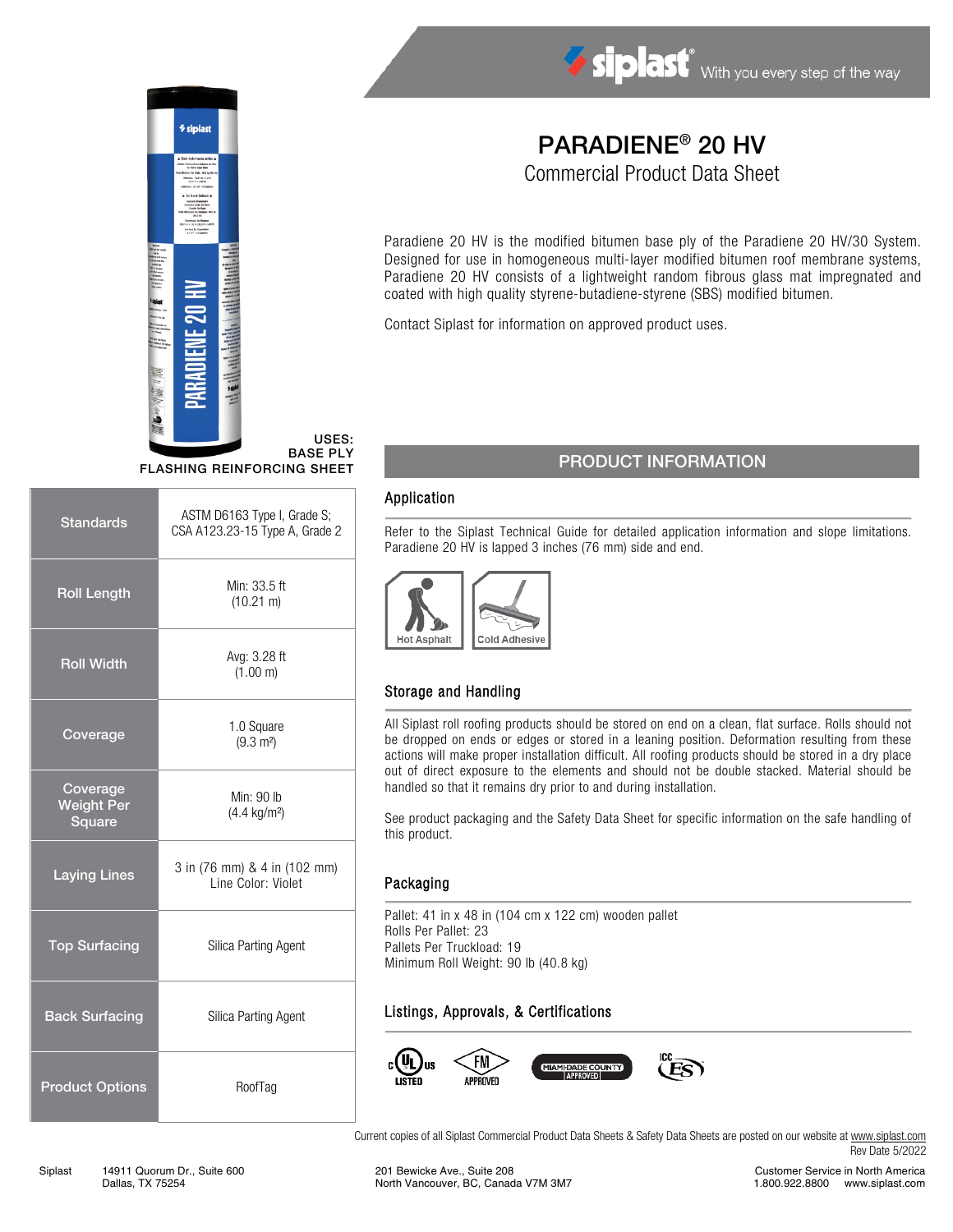

USES: BASE PLY FLASHING REINFORCING SHEET

| <b>Standards</b>                        | ASTM D6163 Type I, Grade S;<br>CSA A123.23-15 Type A, Grade 2 |  |
|-----------------------------------------|---------------------------------------------------------------|--|
| <b>Roll Length</b>                      | Min: 33.5 ft<br>$(10.21 \text{ m})$                           |  |
| <b>Roll Width</b>                       | Avg: 3.28 ft<br>(1.00 m)                                      |  |
| Coverage                                | 1.0 Square<br>$(9.3 \text{ m}^2)$                             |  |
| Coverage<br><b>Weight Per</b><br>Square | Min: 90 lb<br>$(4.4 \text{ kg/m}^2)$                          |  |
| <b>Laying Lines</b>                     | 3 in (76 mm) & 4 in (102 mm)<br>Line Color: Violet            |  |
| <b>Top Surfacing</b>                    | Silica Parting Agent                                          |  |
| <b>Back Surfacing</b>                   | Silica Parting Agent                                          |  |
| <b>Product Options</b>                  | RoofTag                                                       |  |

# PARADIENE® 20 HV

Siplast With you every step of the way

Commercial Product Data Sheet

Paradiene 20 HV is the modified bitumen base ply of the Paradiene 20 HV/30 System. Designed for use in homogeneous multi-layer modified bitumen roof membrane systems, Paradiene 20 HV consists of a lightweight random fibrous glass mat impregnated and coated with high quality styrene-butadiene-styrene (SBS) modified bitumen.

Contact Siplast for information on approved product uses.

## PRODUCT INFORMATION

#### Application

Refer to the Siplast Technical Guide for detailed application information and slope limitations. Paradiene 20 HV is lapped 3 inches (76 mm) side and end.



## Storage and Handling

All Siplast roll roofing products should be stored on end on a clean, flat surface. Rolls should not be dropped on ends or edges or stored in a leaning position. Deformation resulting from these actions will make proper installation difficult. All roofing products should be stored in a dry place out of direct exposure to the elements and should not be double stacked. Material should be handled so that it remains dry prior to and during installation.

See product packaging and the Safety Data Sheet for specific information on the safe handling of this product.

#### Packaging

Pallet: 41 in x 48 in (104 cm x 122 cm) wooden pallet Rolls Per Pallet: 23 Pallets Per Truckload: 19 Minimum Roll Weight: 90 lb (40.8 kg)

### Listings, Approvals, & Certifications



Current copies of all Siplast Commercial Product Data Sheets & Safety Data Sheets are posted on our website a[t www.siplast.com](http://www.siplast.com/) Rev Date 5/2022